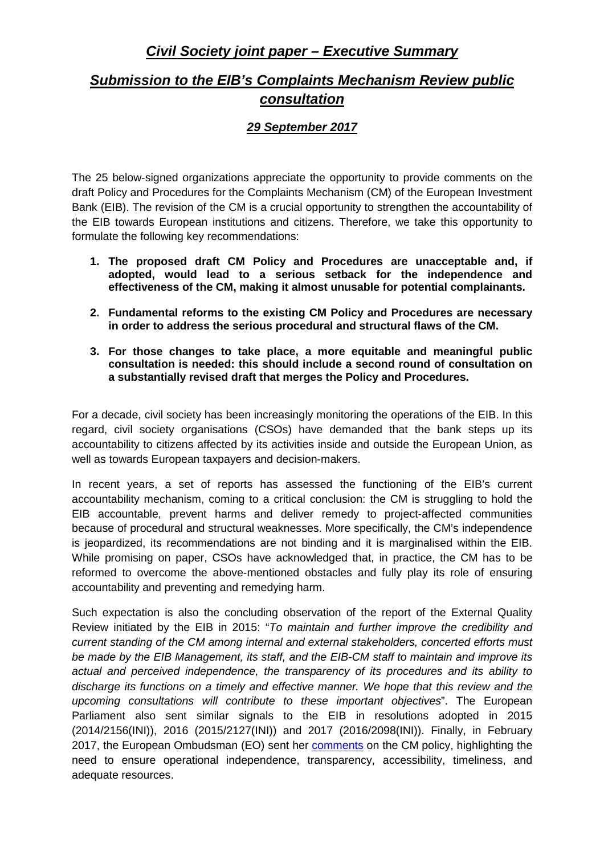## **Civil Society joint paper – Executive Summary**

# **Submission to the EIB's Complaints Mechanism Review public consultation**

### **29 September 2017**

The 25 below-signed organizations appreciate the opportunity to provide comments on the draft Policy and Procedures for the Complaints Mechanism (CM) of the European Investment Bank (EIB). The revision of the CM is a crucial opportunity to strengthen the accountability of the EIB towards European institutions and citizens. Therefore, we take this opportunity to formulate the following key recommendations:

- **1. The proposed draft CM Policy and Procedures are unacceptable and, if adopted, would lead to a serious setback for the independence and effectiveness of the CM, making it almost unusable for potential complainants.**
- **2. Fundamental reforms to the existing CM Policy and Procedures are necessary in order to address the serious procedural and structural flaws of the CM.**
- **3. For those changes to take place, a more equitable and meaningful public consultation is needed: this should include a second round of consultation on a substantially revised draft that merges the Policy and Procedures.**

For a decade, civil society has been increasingly monitoring the operations of the EIB. In this regard, civil society organisations (CSOs) have demanded that the bank steps up its accountability to citizens affected by its activities inside and outside the European Union, as well as towards European taxpayers and decision-makers.

In recent years, a set of reports has assessed the functioning of the EIB's current accountability mechanism, coming to a critical conclusion: the CM is struggling to hold the EIB accountable, prevent harms and deliver remedy to project-affected communities because of procedural and structural weaknesses. More specifically, the CM's independence is jeopardized, its recommendations are not binding and it is marginalised within the EIB. While promising on paper, CSOs have acknowledged that, in practice, the CM has to be reformed to overcome the above-mentioned obstacles and fully play its role of ensuring accountability and preventing and remedying harm.

Such expectation is also the concluding observation of the report of the External Quality Review initiated by the EIB in 2015: "To maintain and further improve the credibility and current standing of the CM among internal and external stakeholders, concerted efforts must be made by the EIB Management, its staff, and the EIB-CM staff to maintain and improve its actual and perceived independence, the transparency of its procedures and its ability to discharge its functions on a timely and effective manner. We hope that this review and the upcoming consultations will contribute to these important objectives". The European Parliament also sent similar signals to the EIB in resolutions adopted in 2015 (2014/2156(INI)), 2016 (2015/2127(INI)) and 2017 (2016/2098(INI)). Finally, in February 2017, the European Ombudsman (EO) sent her comments on the CM policy, highlighting the need to ensure operational independence, transparency, accessibility, timeliness, and adequate resources.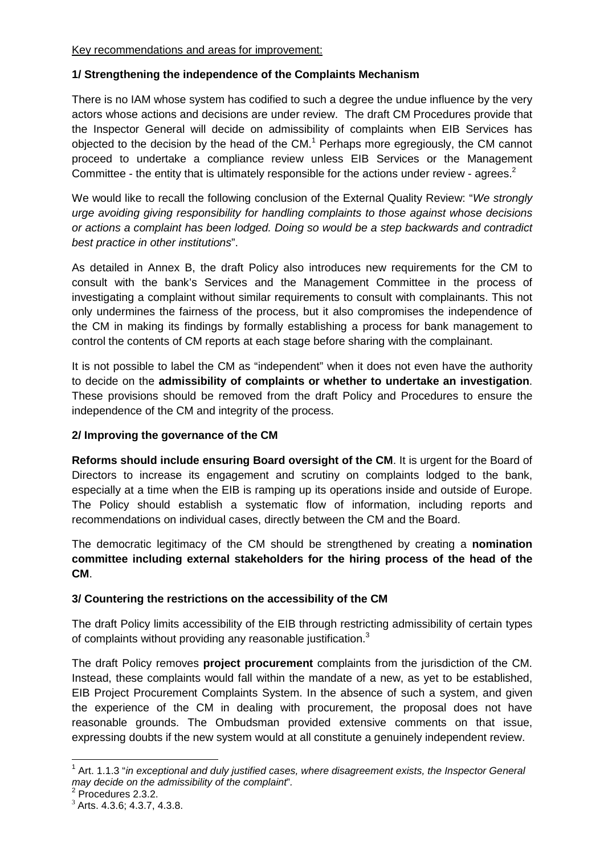#### **1/ Strengthening the independence of the Complaints Mechanism**

There is no IAM whose system has codified to such a degree the undue influence by the very actors whose actions and decisions are under review. The draft CM Procedures provide that the Inspector General will decide on admissibility of complaints when EIB Services has objected to the decision by the head of the CM. $<sup>1</sup>$  Perhaps more egregiously, the CM cannot</sup> proceed to undertake a compliance review unless EIB Services or the Management Committee - the entity that is ultimately responsible for the actions under review - agrees.<sup>2</sup>

We would like to recall the following conclusion of the External Quality Review: "We strongly urge avoiding giving responsibility for handling complaints to those against whose decisions or actions a complaint has been lodged. Doing so would be a step backwards and contradict best practice in other institutions".

As detailed in Annex B, the draft Policy also introduces new requirements for the CM to consult with the bank's Services and the Management Committee in the process of investigating a complaint without similar requirements to consult with complainants. This not only undermines the fairness of the process, but it also compromises the independence of the CM in making its findings by formally establishing a process for bank management to control the contents of CM reports at each stage before sharing with the complainant.

It is not possible to label the CM as "independent" when it does not even have the authority to decide on the **admissibility of complaints or whether to undertake an investigation**. These provisions should be removed from the draft Policy and Procedures to ensure the independence of the CM and integrity of the process.

#### **2/ Improving the governance of the CM**

**Reforms should include ensuring Board oversight of the CM**. It is urgent for the Board of Directors to increase its engagement and scrutiny on complaints lodged to the bank, especially at a time when the EIB is ramping up its operations inside and outside of Europe. The Policy should establish a systematic flow of information, including reports and recommendations on individual cases, directly between the CM and the Board.

The democratic legitimacy of the CM should be strengthened by creating a **nomination committee including external stakeholders for the hiring process of the head of the CM**.

#### **3/ Countering the restrictions on the accessibility of the CM**

The draft Policy limits accessibility of the EIB through restricting admissibility of certain types of complaints without providing any reasonable justification. $3$ 

The draft Policy removes **project procurement** complaints from the jurisdiction of the CM. Instead, these complaints would fall within the mandate of a new, as yet to be established, EIB Project Procurement Complaints System. In the absence of such a system, and given the experience of the CM in dealing with procurement, the proposal does not have reasonable grounds. The Ombudsman provided extensive comments on that issue, expressing doubts if the new system would at all constitute a genuinely independent review.

l

 $1$  Art. 1.1.3 "in exceptional and duly justified cases, where disagreement exists, the Inspector General may decide on the admissibility of the complaint".

<sup>&</sup>lt;sup>2</sup> Procedures 2.3.2.

<sup>3</sup> Arts. 4.3.6; 4.3.7, 4.3.8.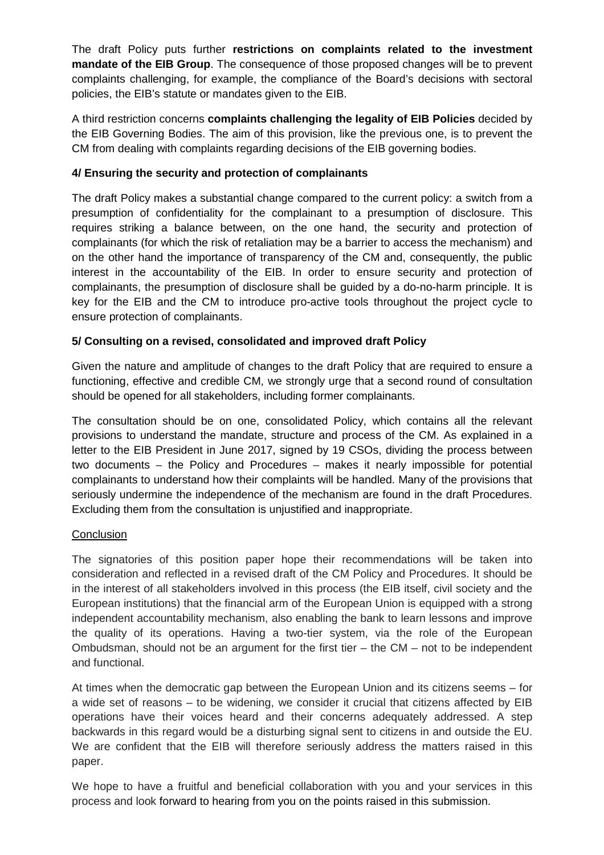The draft Policy puts further **restrictions on complaints related to the investment mandate of the EIB Group**. The consequence of those proposed changes will be to prevent complaints challenging, for example, the compliance of the Board's decisions with sectoral policies, the EIB's statute or mandates given to the EIB.

A third restriction concerns **complaints challenging the legality of EIB Policies** decided by the EIB Governing Bodies. The aim of this provision, like the previous one, is to prevent the CM from dealing with complaints regarding decisions of the EIB governing bodies.

#### **4/ Ensuring the security and protection of complainants**

The draft Policy makes a substantial change compared to the current policy: a switch from a presumption of confidentiality for the complainant to a presumption of disclosure. This requires striking a balance between, on the one hand, the security and protection of complainants (for which the risk of retaliation may be a barrier to access the mechanism) and on the other hand the importance of transparency of the CM and, consequently, the public interest in the accountability of the EIB. In order to ensure security and protection of complainants, the presumption of disclosure shall be guided by a do-no-harm principle. It is key for the EIB and the CM to introduce pro-active tools throughout the project cycle to ensure protection of complainants.

#### **5/ Consulting on a revised, consolidated and improved draft Policy**

Given the nature and amplitude of changes to the draft Policy that are required to ensure a functioning, effective and credible CM, we strongly urge that a second round of consultation should be opened for all stakeholders, including former complainants.

The consultation should be on one, consolidated Policy, which contains all the relevant provisions to understand the mandate, structure and process of the CM. As explained in a letter to the EIB President in June 2017, signed by 19 CSOs, dividing the process between two documents – the Policy and Procedures – makes it nearly impossible for potential complainants to understand how their complaints will be handled. Many of the provisions that seriously undermine the independence of the mechanism are found in the draft Procedures. Excluding them from the consultation is unjustified and inappropriate.

#### **Conclusion**

The signatories of this position paper hope their recommendations will be taken into consideration and reflected in a revised draft of the CM Policy and Procedures. It should be in the interest of all stakeholders involved in this process (the EIB itself, civil society and the European institutions) that the financial arm of the European Union is equipped with a strong independent accountability mechanism, also enabling the bank to learn lessons and improve the quality of its operations. Having a two-tier system, via the role of the European Ombudsman, should not be an argument for the first tier  $-$  the CM  $-$  not to be independent and functional.

At times when the democratic gap between the European Union and its citizens seems – for a wide set of reasons – to be widening, we consider it crucial that citizens affected by EIB operations have their voices heard and their concerns adequately addressed. A step backwards in this regard would be a disturbing signal sent to citizens in and outside the EU. We are confident that the EIB will therefore seriously address the matters raised in this paper.

We hope to have a fruitful and beneficial collaboration with you and your services in this process and look forward to hearing from you on the points raised in this submission.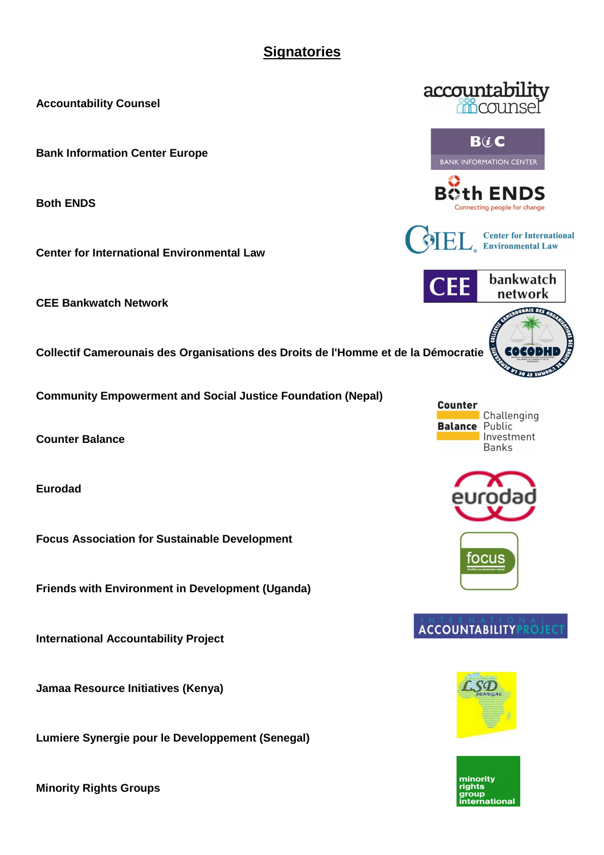## **Signatories**

**Accountability Counsel** 

**Bank Information Center Europe** 

**Both ENDS** 

**Center for International Environmental Law** 

**CEE Bankwatch Network** 

**Collectif Camerounais des Organisations des Droits de l'Homme et de la Démocratie** 

**Community Empowerment and Social Justice Foundation (Nepal)** 

**Counter Balance** 

**Eurodad** 

**Focus Association for Sustainable Development** 

**Friends with Environment in Development (Uganda)** 

**International Accountability Project** 

**Jamaa Resource Initiatives (Kenya)** 

**Lumiere Synergie pour le Developpement (Senegal)** 

**Minority Rights Groups** 





B0th ENDS Connecting people for change

**Center for International Environmental Law** 



**Counter** Challenging **Balance Public** Investment **Banks**